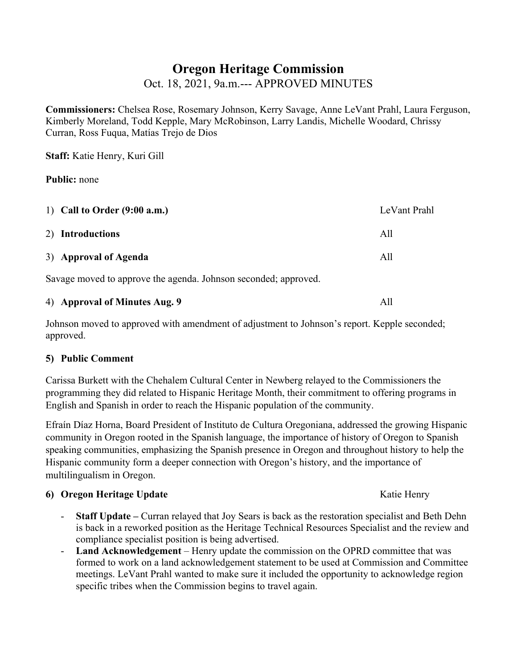# **Oregon Heritage Commission**

Oct. 18, 2021, 9a.m.--- APPROVED MINUTES

**Commissioners:** Chelsea Rose, Rosemary Johnson, Kerry Savage, Anne LeVant Prahl, Laura Ferguson, Kimberly Moreland, Todd Kepple, Mary McRobinson, Larry Landis, Michelle Woodard, Chrissy Curran, Ross Fuqua, Matías Trejo de Dios

**Staff:** Katie Henry, Kuri Gill

#### **Public:** none

| 1) Call to Order $(9:00 a.m.)$                                  | LeVant Prahl |
|-----------------------------------------------------------------|--------------|
| 2) Introductions                                                | All          |
| 3) Approval of Agenda                                           | All          |
| Savage moved to approve the agenda. Johnson seconded; approved. |              |

|  | 4) Approval of Minutes Aug. 9 |  |
|--|-------------------------------|--|
|--|-------------------------------|--|

Johnson moved to approved with amendment of adjustment to Johnson's report. Kepple seconded; approved.

### **5) Public Comment**

Carissa Burkett with the Chehalem Cultural Center in Newberg relayed to the Commissioners the programming they did related to Hispanic Heritage Month, their commitment to offering programs in English and Spanish in order to reach the Hispanic population of the community.

Efraín Díaz Horna, Board President of Instituto de Cultura Oregoniana, addressed the growing Hispanic community in Oregon rooted in the Spanish language, the importance of history of Oregon to Spanish speaking communities, emphasizing the Spanish presence in Oregon and throughout history to help the Hispanic community form a deeper connection with Oregon's history, and the importance of multilingualism in Oregon.

### **6) Oregon Heritage Update** Katie Henry

- **Staff Update** Curran relayed that Joy Sears is back as the restoration specialist and Beth Dehn is back in a reworked position as the Heritage Technical Resources Specialist and the review and compliance specialist position is being advertised.
- Land Acknowledgement Henry update the commission on the OPRD committee that was formed to work on a land acknowledgement statement to be used at Commission and Committee meetings. LeVant Prahl wanted to make sure it included the opportunity to acknowledge region specific tribes when the Commission begins to travel again.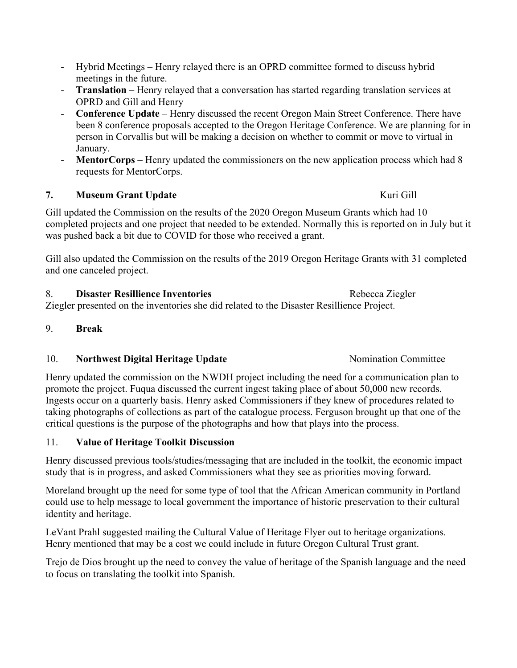- Hybrid Meetings Henry relayed there is an OPRD committee formed to discuss hybrid meetings in the future.
- **Translation** Henry relayed that a conversation has started regarding translation services at OPRD and Gill and Henry
- **Conference Update** Henry discussed the recent Oregon Main Street Conference. There have been 8 conference proposals accepted to the Oregon Heritage Conference. We are planning for in person in Corvallis but will be making a decision on whether to commit or move to virtual in January.
- **MentorCorps** Henry updated the commissioners on the new application process which had 8 requests for MentorCorps.

# **7. Museum Grant Update Kuri Gill**

Gill updated the Commission on the results of the 2020 Oregon Museum Grants which had 10 completed projects and one project that needed to be extended. Normally this is reported on in July but it was pushed back a bit due to COVID for those who received a grant.

Gill also updated the Commission on the results of the 2019 Oregon Heritage Grants with 31 completed and one canceled project.

8. **Disaster Resillience Inventories Rebecca Ziegler** Rebecca Ziegler Ziegler presented on the inventories she did related to the Disaster Resillience Project.

### 9. **Break**

### 10. **Northwest Digital Heritage Update** Nomination Committee

Henry updated the commission on the NWDH project including the need for a communication plan to promote the project. Fuqua discussed the current ingest taking place of about 50,000 new records. Ingests occur on a quarterly basis. Henry asked Commissioners if they knew of procedures related to taking photographs of collections as part of the catalogue process. Ferguson brought up that one of the critical questions is the purpose of the photographs and how that plays into the process.

# 11. **Value of Heritage Toolkit Discussion**

Henry discussed previous tools/studies/messaging that are included in the toolkit, the economic impact study that is in progress, and asked Commissioners what they see as priorities moving forward.

Moreland brought up the need for some type of tool that the African American community in Portland could use to help message to local government the importance of historic preservation to their cultural identity and heritage.

LeVant Prahl suggested mailing the Cultural Value of Heritage Flyer out to heritage organizations. Henry mentioned that may be a cost we could include in future Oregon Cultural Trust grant.

Trejo de Dios brought up the need to convey the value of heritage of the Spanish language and the need to focus on translating the toolkit into Spanish.